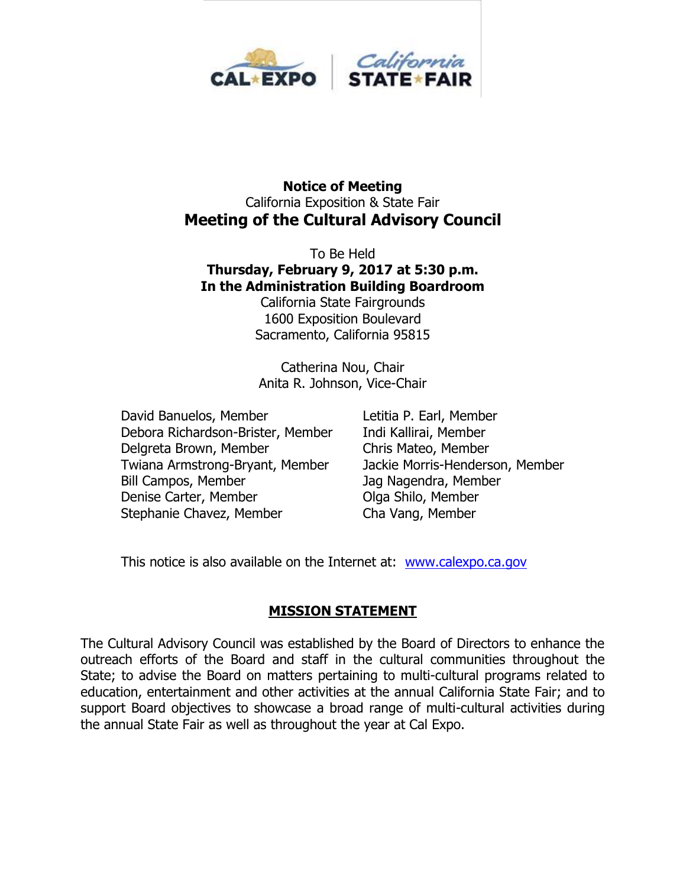

#### **Notice of Meeting** California Exposition & State Fair **Meeting of the Cultural Advisory Council**

To Be Held **Thursday, February 9, 2017 at 5:30 p.m. In the Administration Building Boardroom**

California State Fairgrounds 1600 Exposition Boulevard Sacramento, California 95815

Catherina Nou, Chair Anita R. Johnson, Vice-Chair

David Banuelos, Member Letitia P. Earl, Member Debora Richardson-Brister, Member Indi Kallirai, Member Delgreta Brown, Member Chris Mateo, Member Twiana Armstrong-Bryant, Member Jackie Morris-Henderson, Member Bill Campos, Member Jag Nagendra, Member Denise Carter, Member **Olga Shilo, Member** Stephanie Chavez, Member Cha Vang, Member

This notice is also available on the Internet at: [www.calexpo.ca.gov](http://www.calexpo.ca.gov/)

### **MISSION STATEMENT**

The Cultural Advisory Council was established by the Board of Directors to enhance the outreach efforts of the Board and staff in the cultural communities throughout the State; to advise the Board on matters pertaining to multi-cultural programs related to education, entertainment and other activities at the annual California State Fair; and to support Board objectives to showcase a broad range of multi-cultural activities during the annual State Fair as well as throughout the year at Cal Expo.